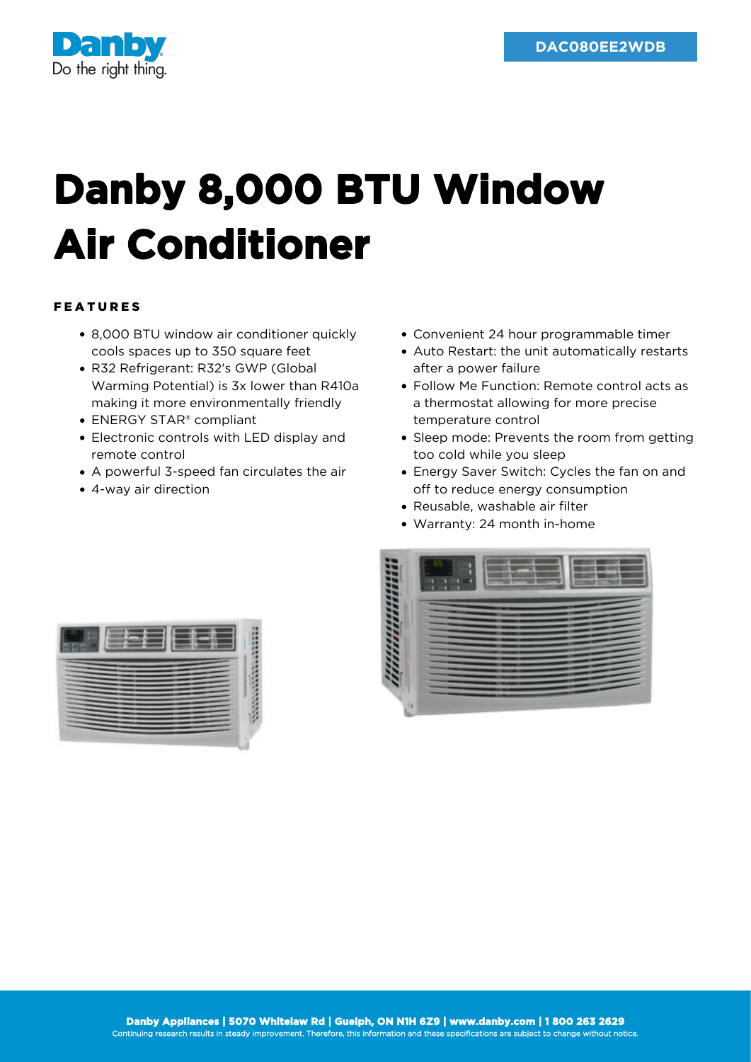

## **Danby 8,000 BTU Window Air Conditioner**

## FEATURES

- 8,000 BTU window air conditioner quickly cools spaces up to 350 square feet
- R32 Refrigerant: R32's GWP (Global Warming Potential) is 3x lower than R410a making it more environmentally friendly
- ENERGY STAR® compliant
- Electronic controls with LED display and remote control
- A powerful 3-speed fan circulates the air
- 4-way air direction
- Convenient 24 hour programmable timer
- Auto Restart: the unit automatically restarts after a power failure
- Follow Me Function: Remote control acts as a thermostat allowing for more precise temperature control
- Sleep mode: Prevents the room from getting too cold while you sleep
- Energy Saver Switch: Cycles the fan on and off to reduce energy consumption
- Reusable, washable air filter
- Warranty: 24 month in-home